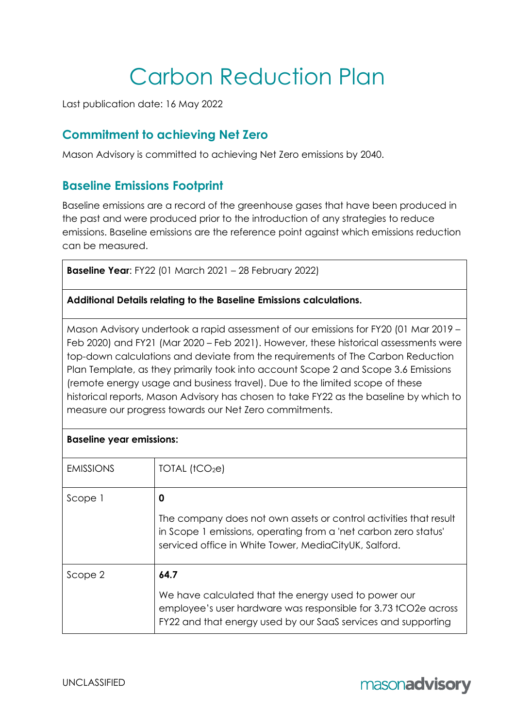# Carbon Reduction Plan

Last publication date: 16 May 2022

#### **Commitment to achieving Net Zero**

Mason Advisory is committed to achieving Net Zero emissions by 2040.

#### **Baseline Emissions Footprint**

Baseline emissions are a record of the greenhouse gases that have been produced in the past and were produced prior to the introduction of any strategies to reduce emissions. Baseline emissions are the reference point against which emissions reduction can be measured.

**Baseline Year**: FY22 (01 March 2021 – 28 February 2022)

#### **Additional Details relating to the Baseline Emissions calculations.**

Mason Advisory undertook a rapid assessment of our emissions for FY20 (01 Mar 2019 – Feb 2020) and FY21 (Mar 2020 – Feb 2021). However, these historical assessments were top-down calculations and deviate from the requirements of The Carbon Reduction Plan Template, as they primarily took into account Scope 2 and Scope 3.6 Emissions (remote energy usage and business travel). Due to the limited scope of these historical reports, Mason Advisory has chosen to take FY22 as the baseline by which to measure our progress towards our Net Zero commitments.

#### **Baseline year emissions:**

| <b>EMISSIONS</b> | TOTAL $(tCO2e)$                                                                                                                                                                                    |
|------------------|----------------------------------------------------------------------------------------------------------------------------------------------------------------------------------------------------|
| Scope 1          | 0<br>The company does not own assets or control activities that result<br>in Scope 1 emissions, operating from a 'net carbon zero status'<br>serviced office in White Tower, MediaCityUK, Salford. |
| Scope 2          | 64.7<br>We have calculated that the energy used to power our<br>employee's user hardware was responsible for 3.73 tCO2e across<br>FY22 and that energy used by our SaaS services and supporting    |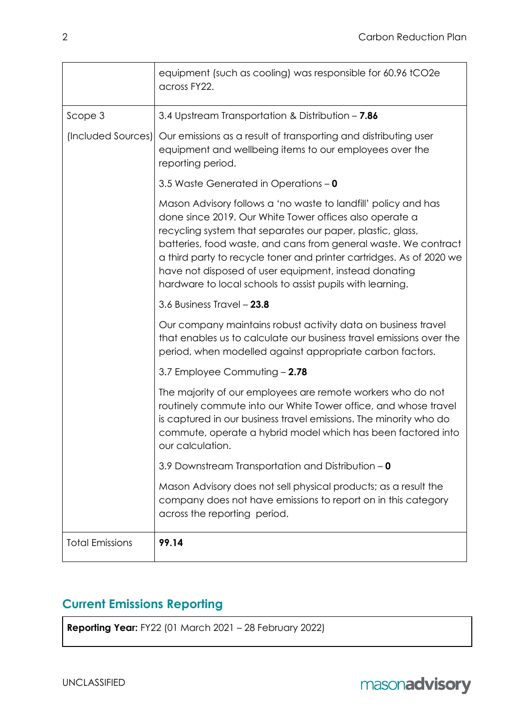|                        | equipment (such as cooling) was responsible for 60.96 tCO2e<br>across FY22.                                                                                                                                                                                                                                                                                                                                                                              |
|------------------------|----------------------------------------------------------------------------------------------------------------------------------------------------------------------------------------------------------------------------------------------------------------------------------------------------------------------------------------------------------------------------------------------------------------------------------------------------------|
| Scope 3                | 3.4 Upstream Transportation & Distribution - 7.86                                                                                                                                                                                                                                                                                                                                                                                                        |
| (Included Sources)     | Our emissions as a result of transporting and distributing user<br>equipment and wellbeing items to our employees over the<br>reporting period.                                                                                                                                                                                                                                                                                                          |
|                        | 3.5 Waste Generated in Operations - 0                                                                                                                                                                                                                                                                                                                                                                                                                    |
|                        | Mason Advisory follows a 'no waste to landfill' policy and has<br>done since 2019. Our White Tower offices also operate a<br>recycling system that separates our paper, plastic, glass,<br>batteries, food waste, and cans from general waste. We contract<br>a third party to recycle toner and printer cartridges. As of 2020 we<br>have not disposed of user equipment, instead donating<br>hardware to local schools to assist pupils with learning. |
|                        | 3.6 Business Travel - 23.8                                                                                                                                                                                                                                                                                                                                                                                                                               |
|                        | Our company maintains robust activity data on business travel<br>that enables us to calculate our business travel emissions over the<br>period, when modelled against appropriate carbon factors.                                                                                                                                                                                                                                                        |
|                        | 3.7 Employee Commuting - 2.78                                                                                                                                                                                                                                                                                                                                                                                                                            |
|                        | The majority of our employees are remote workers who do not<br>routinely commute into our White Tower office, and whose travel<br>is captured in our business travel emissions. The minority who do<br>commute, operate a hybrid model which has been factored into<br>our calculation.                                                                                                                                                                  |
|                        | 3.9 Downstream Transportation and Distribution - 0                                                                                                                                                                                                                                                                                                                                                                                                       |
|                        | Mason Advisory does not sell physical products; as a result the<br>company does not have emissions to report on in this category<br>across the reporting period.                                                                                                                                                                                                                                                                                         |
| <b>Total Emissions</b> | 99.14                                                                                                                                                                                                                                                                                                                                                                                                                                                    |

## **Current Emissions Reporting**

**Reporting Year:** FY22 (01 March 2021 – 28 February 2022)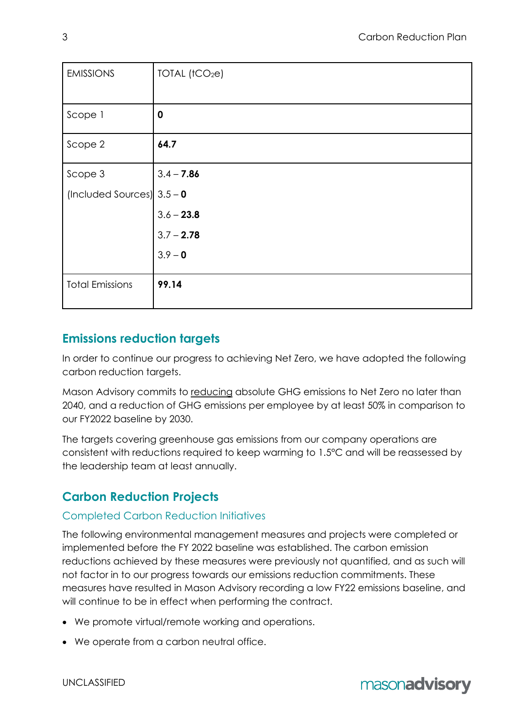| <b>EMISSIONS</b>             | TOTAL (tCO <sub>2</sub> e) |
|------------------------------|----------------------------|
|                              |                            |
| Scope 1                      | $\mathbf 0$                |
| Scope 2                      | 64.7                       |
| Scope 3                      | $3.4 - 7.86$               |
| (Included Sources) $3.5 - 0$ |                            |
|                              | $3.6 - 23.8$               |
|                              | $3.7 - 2.78$               |
|                              | $3.9 - 0$                  |
| <b>Total Emissions</b>       | 99.14                      |

## **Emissions reduction targets**

In order to continue our progress to achieving Net Zero, we have adopted the following carbon reduction targets.

Mason Advisory commits to reducing absolute GHG emissions to Net Zero no later than 2040, and a reduction of GHG emissions per employee by at least 50% in comparison to our FY2022 baseline by 2030.

The targets covering greenhouse gas emissions from our company operations are consistent with reductions required to keep warming to 1.5°C and will be reassessed by the leadership team at least annually.

## **Carbon Reduction Projects**

#### Completed Carbon Reduction Initiatives

The following environmental management measures and projects were completed or implemented before the FY 2022 baseline was established. The carbon emission reductions achieved by these measures were previously not quantified, and as such will not factor in to our progress towards our emissions reduction commitments. These measures have resulted in Mason Advisory recording a low FY22 emissions baseline, and will continue to be in effect when performing the contract.

- We promote virtual/remote working and operations.
- We operate from a carbon neutral office.

# masonadvisory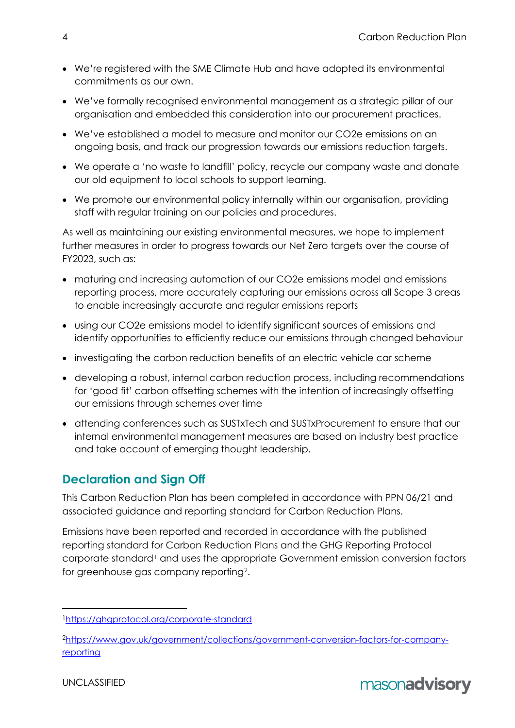- We're registered with the SME Climate Hub and have adopted its environmental commitments as our own.
- We've formally recognised environmental management as a strategic pillar of our organisation and embedded this consideration into our procurement practices.
- We've established a model to measure and monitor our CO2e emissions on an ongoing basis, and track our progression towards our emissions reduction targets.
- We operate a 'no waste to landfill' policy, recycle our company waste and donate our old equipment to local schools to support learning.
- We promote our environmental policy internally within our organisation, providing staff with regular training on our policies and procedures.

As well as maintaining our existing environmental measures, we hope to implement further measures in order to progress towards our Net Zero targets over the course of FY2023, such as:

- maturing and increasing automation of our CO2e emissions model and emissions reporting process, more accurately capturing our emissions across all Scope 3 areas to enable increasingly accurate and regular emissions reports
- using our CO2e emissions model to identify significant sources of emissions and identify opportunities to efficiently reduce our emissions through changed behaviour
- investigating the carbon reduction benefits of an electric vehicle car scheme
- developing a robust, internal carbon reduction process, including recommendations for 'good fit' carbon offsetting schemes with the intention of increasingly offsetting our emissions through schemes over time
- attending conferences such as SUSTxTech and SUSTxProcurement to ensure that our internal environmental management measures are based on industry best practice and take account of emerging thought leadership.

## **Declaration and Sign Off**

This Carbon Reduction Plan has been completed in accordance with PPN 06/21 and associated guidance and reporting standard for Carbon Reduction Plans.

Emissions have been reported and recorded in accordance with the published reporting standard for Carbon Reduction Plans and the GHG Reporting Protocol corporate standard<sup>[1](#page-3-0)</sup> and uses the appropriate Government emission conversion factors [for greenhouse gas company reporting](https://www.gov.uk/government/collections/government-conversion-factors-for-company-reporting)[2](#page-3-1).

masonadvisory

<span id="page-3-0"></span>[<sup>1</sup>https://ghgprotocol.org/corporate-standard](https://ghgprotocol.org/corporate-standard)

<span id="page-3-1"></span>[<sup>2</sup>https://www.gov.uk/government/collections/government-conversion-factors-for-company](https://www.gov.uk/government/collections/government-conversion-factors-for-company-reporting)[reporting](https://www.gov.uk/government/collections/government-conversion-factors-for-company-reporting)